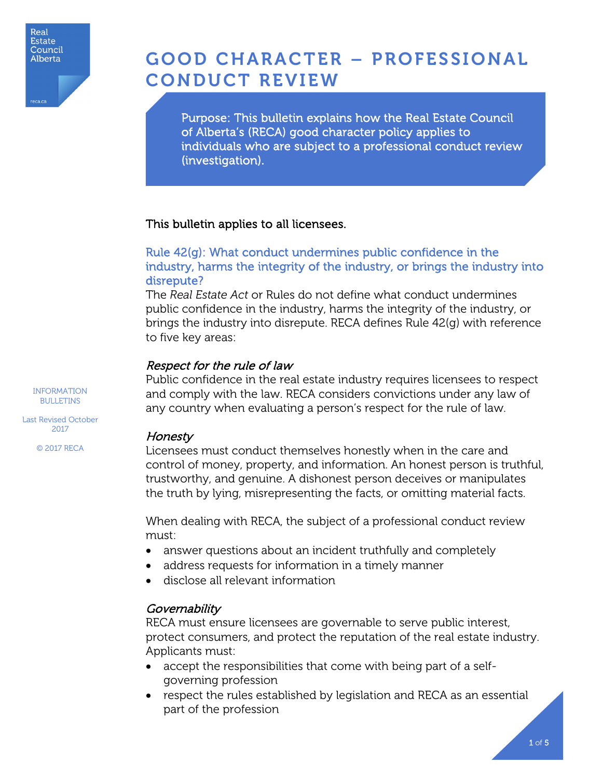

reca.ca

GOOD CHARACTER – PROFESSIONAL CONDUCT REVIEW

Purpose: This bulletin explains how the Real Estate Council of Alberta's (RECA) good character policy applies to individuals who are subject to a professional conduct review (investigation).

#### This bulletin applies to all licensees.

# Rule 42(g): What conduct undermines public confidence in the industry, harms the integrity of the industry, or brings the industry into disrepute?

The *Real Estate Act* or Rules do not define what conduct undermines public confidence in the industry, harms the integrity of the industry, or brings the industry into disrepute. RECA defines Rule 42(g) with reference to five key areas:

#### Respect for the rule of law

Public confidence in the real estate industry requires licensees to respect and comply with the law. RECA considers convictions under any law of any country when evaluating a person's respect for the rule of law.

#### Honesty

Licensees must conduct themselves honestly when in the care and control of money, property, and information. An honest person is truthful, trustworthy, and genuine. A dishonest person deceives or manipulates the truth by lying, misrepresenting the facts, or omitting material facts.

When dealing with RECA, the subject of a professional conduct review must:

- answer questions about an incident truthfully and completely
- address requests for information in a timely manner
- disclose all relevant information

# **Governability**

RECA must ensure licensees are governable to serve public interest, protect consumers, and protect the reputation of the real estate industry. Applicants must:

- accept the responsibilities that come with being part of a selfgoverning profession
- respect the rules established by legislation and RECA as an essential part of the profession

INFORMATION BULLETINS

Last Revised October 2017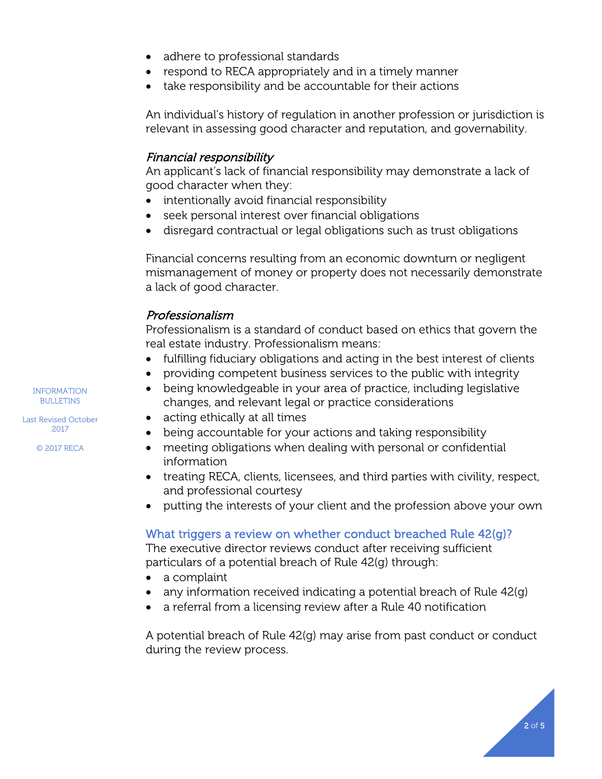- adhere to professional standards
- respond to RECA appropriately and in a timely manner
- take responsibility and be accountable for their actions

An individual's history of regulation in another profession or jurisdiction is relevant in assessing good character and reputation, and governability.

## Financial responsibility

An applicant's lack of financial responsibility may demonstrate a lack of good character when they:

- intentionally avoid financial responsibility
- seek personal interest over financial obligations
- disregard contractual or legal obligations such as trust obligations

Financial concerns resulting from an economic downturn or negligent mismanagement of money or property does not necessarily demonstrate a lack of good character.

# Professionalism

Professionalism is a standard of conduct based on ethics that govern the real estate industry. Professionalism means:

- fulfilling fiduciary obligations and acting in the best interest of clients
- providing competent business services to the public with integrity
- being knowledgeable in your area of practice, including legislative changes, and relevant legal or practice considerations
- acting ethically at all times
- being accountable for your actions and taking responsibility
- meeting obligations when dealing with personal or confidential information
- treating RECA, clients, licensees, and third parties with civility, respect, and professional courtesy
- putting the interests of your client and the profession above your own

#### What triggers a review on whether conduct breached Rule 42(g)?

The executive director reviews conduct after receiving sufficient particulars of a potential breach of Rule 42(g) through:

- a complaint
- any information received indicating a potential breach of Rule  $42(q)$
- a referral from a licensing review after a Rule 40 notification

A potential breach of Rule 42(g) may arise from past conduct or conduct during the review process.

INFORMATION BULLETINS

Last Revised October 2017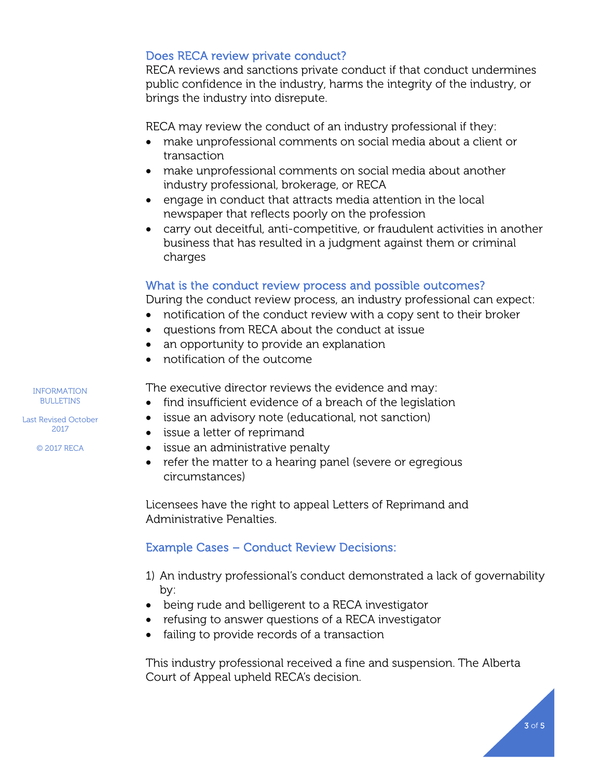## Does RECA review private conduct?

RECA reviews and sanctions private conduct if that conduct undermines public confidence in the industry, harms the integrity of the industry, or brings the industry into disrepute.

RECA may review the conduct of an industry professional if they:

- make unprofessional comments on social media about a client or transaction
- make unprofessional comments on social media about another industry professional, brokerage, or RECA
- engage in conduct that attracts media attention in the local newspaper that reflects poorly on the profession
- carry out deceitful, anti-competitive, or fraudulent activities in another business that has resulted in a judgment against them or criminal charges

#### What is the conduct review process and possible outcomes?

During the conduct review process, an industry professional can expect:

- notification of the conduct review with a copy sent to their broker
- questions from RECA about the conduct at issue
- an opportunity to provide an explanation
- notification of the outcome

The executive director reviews the evidence and may:

- find insufficient evidence of a breach of the legislation
- issue an advisory note (educational, not sanction)
- issue a letter of reprimand
- issue an administrative penalty
- refer the matter to a hearing panel (severe or egregious circumstances)

Licensees have the right to appeal Letters of Reprimand and Administrative Penalties.

Example Cases – Conduct Review Decisions:

- 1) An industry professional's conduct demonstrated a lack of governability by:
- being rude and belligerent to a RECA investigator
- refusing to answer questions of a RECA investigator
- failing to provide records of a transaction

This industry professional received a fine and suspension. The Alberta Court of Appeal upheld RECA's decision.

#### INFORMATION BULLETINS

Last Revised October 2017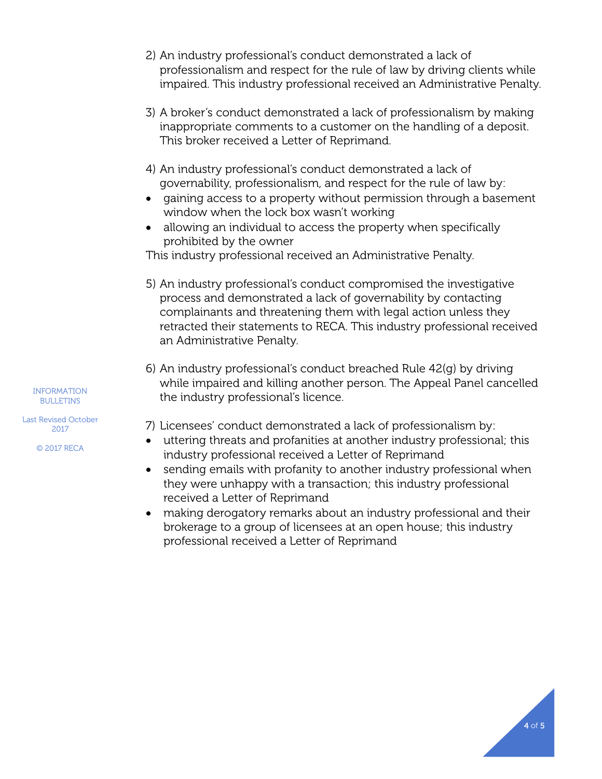- 2) An industry professional's conduct demonstrated a lack of professionalism and respect for the rule of law by driving clients while impaired. This industry professional received an Administrative Penalty.
- 3) A broker's conduct demonstrated a lack of professionalism by making inappropriate comments to a customer on the handling of a deposit. This broker received a Letter of Reprimand.
- 4) An industry professional's conduct demonstrated a lack of governability, professionalism, and respect for the rule of law by:
- gaining access to a property without permission through a basement window when the lock box wasn't working
- allowing an individual to access the property when specifically prohibited by the owner

This industry professional received an Administrative Penalty.

- 5) An industry professional's conduct compromised the investigative process and demonstrated a lack of governability by contacting complainants and threatening them with legal action unless they retracted their statements to RECA. This industry professional received an Administrative Penalty.
- 6) An industry professional's conduct breached Rule 42(g) by driving while impaired and killing another person. The Appeal Panel cancelled the industry professional's licence.

7) Licensees' conduct demonstrated a lack of professionalism by:

- uttering threats and profanities at another industry professional; this industry professional received a Letter of Reprimand
- sending emails with profanity to another industry professional when they were unhappy with a transaction; this industry professional received a Letter of Reprimand
- making derogatory remarks about an industry professional and their brokerage to a group of licensees at an open house; this industry professional received a Letter of Reprimand

INFORMATION BULLETINS

Last Revised October 2017